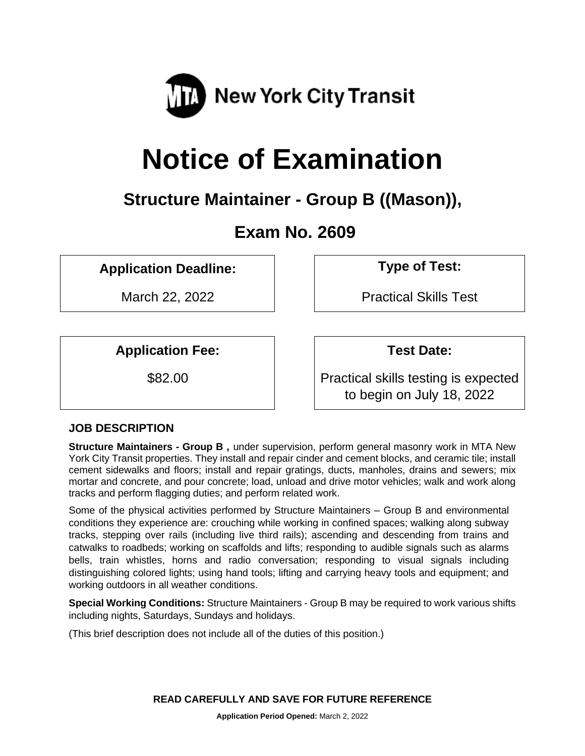

# **Notice of Examination**

# **Structure Maintainer - Group B ((Mason)),**

# **Exam No. 2609**

**Application Deadline: Type of Test:** 

March 22, 2022 **Practical Skills Test** 

**Application Fee: Test Date:**

\$82.00 Practical skills testing is expected to begin on July 18, 2022

# **JOB DESCRIPTION**

**Structure Maintainers - Group B ,** under supervision, perform general masonry work in MTA New York City Transit properties. They install and repair cinder and cement blocks, and ceramic tile; install cement sidewalks and floors; install and repair gratings, ducts, manholes, drains and sewers; mix mortar and concrete, and pour concrete; load, unload and drive motor vehicles; walk and work along tracks and perform flagging duties; and perform related work.

Some of the physical activities performed by Structure Maintainers – Group B and environmental conditions they experience are: crouching while working in confined spaces; walking along subway tracks, stepping over rails (including live third rails); ascending and descending from trains and catwalks to roadbeds; working on scaffolds and lifts; responding to audible signals such as alarms bells, train whistles, horns and radio conversation; responding to visual signals including distinguishing colored lights; using hand tools; lifting and carrying heavy tools and equipment; and working outdoors in all weather conditions.

**Special Working Conditions:** Structure Maintainers - Group B may be required to work various shifts including nights, Saturdays, Sundays and holidays.

(This brief description does not include all of the duties of this position.)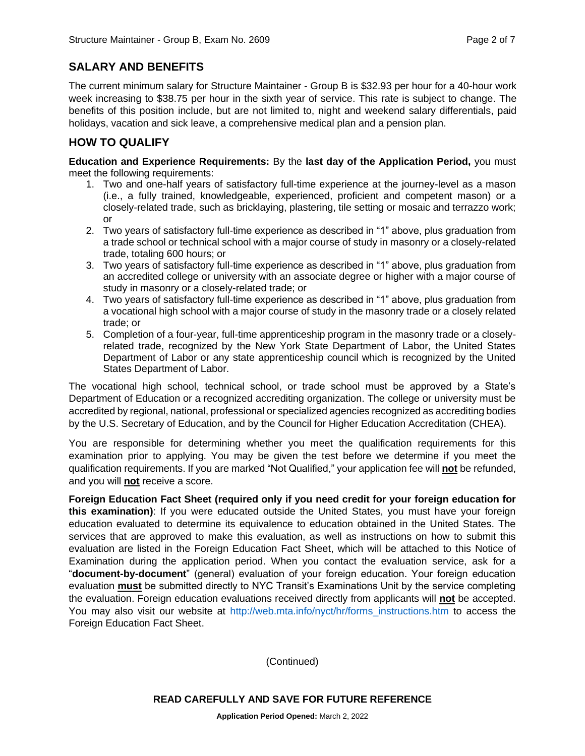# **SALARY AND BENEFITS**

The current minimum salary for Structure Maintainer - Group B is \$32.93 per hour for a 40-hour work week increasing to \$38.75 per hour in the sixth year of service. This rate is subject to change. The benefits of this position include, but are not limited to, night and weekend salary differentials, paid holidays, vacation and sick leave, a comprehensive medical plan and a pension plan.

# **HOW TO QUALIFY**

**Education and Experience Requirements:** By the **last day of the Application Period,** you must meet the following requirements:

- 1. Two and one-half years of satisfactory full-time experience at the journey-level as a mason (i.e., a fully trained, knowledgeable, experienced, proficient and competent mason) or a closely-related trade, such as bricklaying, plastering, tile setting or mosaic and terrazzo work; or
- 2. Two years of satisfactory full-time experience as described in "1" above, plus graduation from a trade school or technical school with a major course of study in masonry or a closely-related trade, totaling 600 hours; or
- 3. Two years of satisfactory full-time experience as described in "1" above, plus graduation from an accredited college or university with an associate degree or higher with a major course of study in masonry or a closely-related trade; or
- 4. Two years of satisfactory full-time experience as described in "1" above, plus graduation from a vocational high school with a major course of study in the masonry trade or a closely related trade; or
- 5. Completion of a four-year, full-time apprenticeship program in the masonry trade or a closelyrelated trade, recognized by the New York State Department of Labor, the United States Department of Labor or any state apprenticeship council which is recognized by the United States Department of Labor.

The vocational high school, technical school, or trade school must be approved by a State's Department of Education or a recognized accrediting organization. The college or university must be accredited by regional, national, professional or specialized agencies recognized as accrediting bodies by the U.S. Secretary of Education, and by the Council for Higher Education Accreditation (CHEA).

You are responsible for determining whether you meet the qualification requirements for this examination prior to applying. You may be given the test before we determine if you meet the qualification requirements. If you are marked "Not Qualified," your application fee will **not** be refunded, and you will **not** receive a score.

**Foreign Education Fact Sheet (required only if you need credit for your foreign education for this examination)**: If you were educated outside the United States, you must have your foreign education evaluated to determine its equivalence to education obtained in the United States. The services that are approved to make this evaluation, as well as instructions on how to submit this evaluation are listed in the Foreign Education Fact Sheet, which will be attached to this Notice of Examination during the application period. When you contact the evaluation service, ask for a "**document-by-document**" (general) evaluation of your foreign education. Your foreign education evaluation **must** be submitted directly to NYC Transit's Examinations Unit by the service completing the evaluation. Foreign education evaluations received directly from applicants will **not** be accepted. You may also visit our website at [http://web.mta.info/nyct/hr/forms\\_instructions.htm](http://web.mta.info/nyct/hr/forms_instructions.htm) to access the Foreign Education Fact Sheet.

(Continued)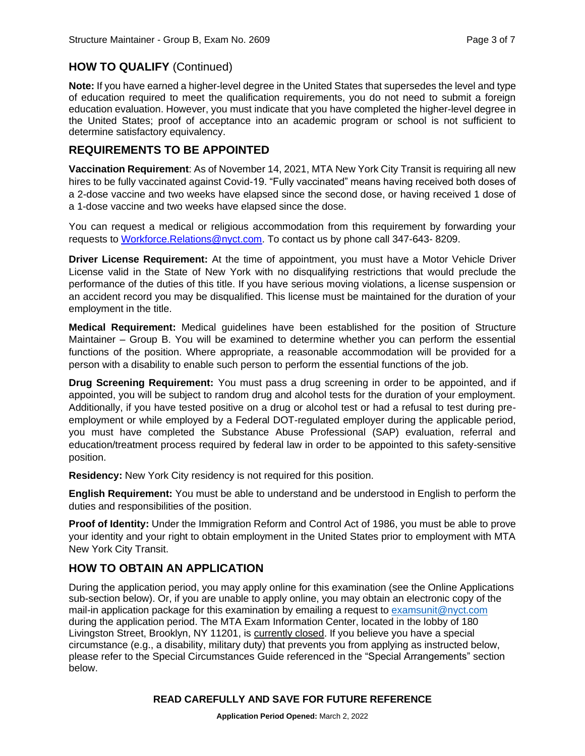#### **HOW TO QUALIFY** (Continued)

**Note:** If you have earned a higher-level degree in the United States that supersedes the level and type of education required to meet the qualification requirements, you do not need to submit a foreign education evaluation. However, you must indicate that you have completed the higher-level degree in the United States; proof of acceptance into an academic program or school is not sufficient to determine satisfactory equivalency.

#### **REQUIREMENTS TO BE APPOINTED**

**Vaccination Requirement**: As of November 14, 2021, MTA New York City Transit is requiring all new hires to be fully vaccinated against Covid-19. "Fully vaccinated" means having received both doses of a 2-dose vaccine and two weeks have elapsed since the second dose, or having received 1 dose of a 1-dose vaccine and two weeks have elapsed since the dose.

You can request a medical or religious accommodation from this requirement by forwarding your requests to [Workforce.Relations@nyct.com.](mailto:Workforce.Relations@nyct.com) To contact us by phone call 347-643- 8209.

**Driver License Requirement:** At the time of appointment, you must have a Motor Vehicle Driver License valid in the State of New York with no disqualifying restrictions that would preclude the performance of the duties of this title. If you have serious moving violations, a license suspension or an accident record you may be disqualified. This license must be maintained for the duration of your employment in the title.

**Medical Requirement:** Medical guidelines have been established for the position of Structure Maintainer – Group B. You will be examined to determine whether you can perform the essential functions of the position. Where appropriate, a reasonable accommodation will be provided for a person with a disability to enable such person to perform the essential functions of the job.

**Drug Screening Requirement:** You must pass a drug screening in order to be appointed, and if appointed, you will be subject to random drug and alcohol tests for the duration of your employment. Additionally, if you have tested positive on a drug or alcohol test or had a refusal to test during preemployment or while employed by a Federal DOT-regulated employer during the applicable period, you must have completed the Substance Abuse Professional (SAP) evaluation, referral and education/treatment process required by federal law in order to be appointed to this safety-sensitive position.

**Residency:** New York City residency is not required for this position.

**English Requirement:** You must be able to understand and be understood in English to perform the duties and responsibilities of the position.

**Proof of Identity:** Under the Immigration Reform and Control Act of 1986, you must be able to prove your identity and your right to obtain employment in the United States prior to employment with MTA New York City Transit.

#### **HOW TO OBTAIN AN APPLICATION**

During the application period, you may apply online for this examination (see the Online Applications sub-section below). Or, if you are unable to apply online, you may obtain an electronic copy of the mail-in application package for this examination by emailing a request to [examsunit@nyct.com](mailto:examsunit@nyct.com) during the application period. The MTA Exam Information Center, located in the lobby of 180 Livingston Street, Brooklyn, NY 11201, is currently closed. If you believe you have a special circumstance (e.g., a disability, military duty) that prevents you from applying as instructed below, please refer to the Special Circumstances Guide referenced in the "Special Arrangements" section below.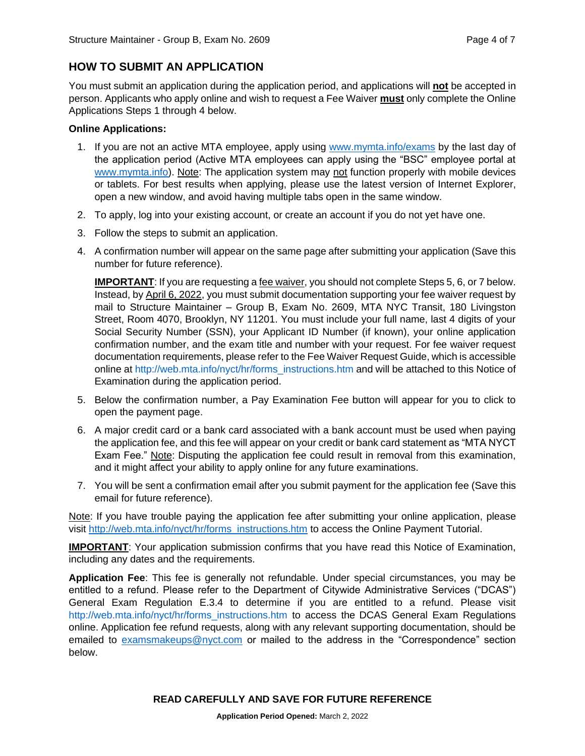### **HOW TO SUBMIT AN APPLICATION**

You must submit an application during the application period, and applications will **not** be accepted in person. Applicants who apply online and wish to request a Fee Waiver **must** only complete the Online Applications Steps 1 through 4 below.

#### **Online Applications:**

- 1. If you are not an active MTA employee, apply using [www.mymta.info/exams](http://www.mymta.info/exams) by the last day of the application period (Active MTA employees can apply using the "BSC" employee portal at [www.mymta.info\)](http://www.mymta.info/). Note: The application system may not function properly with mobile devices or tablets. For best results when applying, please use the latest version of Internet Explorer, open a new window, and avoid having multiple tabs open in the same window.
- 2. To apply, log into your existing account, or create an account if you do not yet have one.
- 3. Follow the steps to submit an application.
- 4. A confirmation number will appear on the same page after submitting your application (Save this number for future reference).

**IMPORTANT**: If you are requesting a fee waiver, you should not complete Steps 5, 6, or 7 below. Instead, by April 6, 2022, you must submit documentation supporting your fee waiver request by mail to Structure Maintainer – Group B, Exam No. 2609, MTA NYC Transit, 180 Livingston Street, Room 4070, Brooklyn, NY 11201. You must include your full name, last 4 digits of your Social Security Number (SSN), your Applicant ID Number (if known), your online application confirmation number, and the exam title and number with your request. For fee waiver request documentation requirements, please refer to the Fee Waiver Request Guide, which is accessible online at [http://web.mta.info/nyct/hr/forms\\_instructions.htm](http://web.mta.info/nyct/hr/forms_instructions.htm) and will be attached to this Notice of Examination during the application period.

- 5. Below the confirmation number, a Pay Examination Fee button will appear for you to click to open the payment page.
- 6. A major credit card or a bank card associated with a bank account must be used when paying the application fee, and this fee will appear on your credit or bank card statement as "MTA NYCT Exam Fee." Note: Disputing the application fee could result in removal from this examination, and it might affect your ability to apply online for any future examinations.
- 7. You will be sent a confirmation email after you submit payment for the application fee (Save this email for future reference).

Note: If you have trouble paying the application fee after submitting your online application, please visit [http://web.mta.info/nyct/hr/forms\\_instructions.htm](http://web.mta.info/nyct/hr/forms_instructions.htm) to access the Online Payment Tutorial.

**IMPORTANT**: Your application submission confirms that you have read this Notice of Examination, including any dates and the requirements.

**Application Fee**: This fee is generally not refundable. Under special circumstances, you may be entitled to a refund. Please refer to the Department of Citywide Administrative Services ("DCAS") General Exam Regulation E.3.4 to determine if you are entitled to a refund. Please visit [http://web.mta.info/nyct/hr/forms\\_instructions.htm](http://web.mta.info/nyct/hr/forms_instructions.htm) to access the DCAS General Exam Regulations online. Application fee refund requests, along with any relevant supporting documentation, should be emailed to [examsmakeups@nyct.com](mailto:examsmakeups@nyct.com) or mailed to the address in the "Correspondence" section below.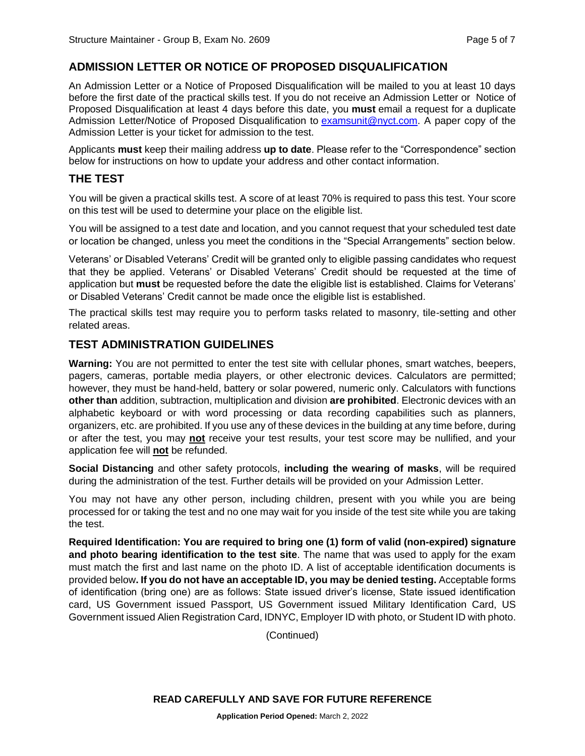# **ADMISSION LETTER OR NOTICE OF PROPOSED DISQUALIFICATION**

An Admission Letter or a Notice of Proposed Disqualification will be mailed to you at least 10 days before the first date of the practical skills test. If you do not receive an Admission Letter or Notice of Proposed Disqualification at least 4 days before this date, you **must** email a request for a duplicate Admission Letter/Notice of Proposed Disqualification to [examsunit@nyct.com.](mailto:examsunit@nyct.com) A paper copy of the Admission Letter is your ticket for admission to the test.

Applicants **must** keep their mailing address **up to date**. Please refer to the "Correspondence" section below for instructions on how to update your address and other contact information.

#### **THE TEST**

You will be given a practical skills test. A score of at least 70% is required to pass this test. Your score on this test will be used to determine your place on the eligible list.

You will be assigned to a test date and location, and you cannot request that your scheduled test date or location be changed, unless you meet the conditions in the "Special Arrangements" section below.

Veterans' or Disabled Veterans' Credit will be granted only to eligible passing candidates who request that they be applied. Veterans' or Disabled Veterans' Credit should be requested at the time of application but **must** be requested before the date the eligible list is established. Claims for Veterans' or Disabled Veterans' Credit cannot be made once the eligible list is established.

The practical skills test may require you to perform tasks related to masonry, tile-setting and other related areas.

#### **TEST ADMINISTRATION GUIDELINES**

**Warning:** You are not permitted to enter the test site with cellular phones, smart watches, beepers, pagers, cameras, portable media players, or other electronic devices. Calculators are permitted; however, they must be hand-held, battery or solar powered, numeric only. Calculators with functions **other than** addition, subtraction, multiplication and division **are prohibited**. Electronic devices with an alphabetic keyboard or with word processing or data recording capabilities such as planners, organizers, etc. are prohibited. If you use any of these devices in the building at any time before, during or after the test, you may **not** receive your test results, your test score may be nullified, and your application fee will **not** be refunded.

**Social Distancing** and other safety protocols, **including the wearing of masks**, will be required during the administration of the test. Further details will be provided on your Admission Letter.

You may not have any other person, including children, present with you while you are being processed for or taking the test and no one may wait for you inside of the test site while you are taking the test.

**Required Identification: You are required to bring one (1) form of valid (non-expired) signature and photo bearing identification to the test site**. The name that was used to apply for the exam must match the first and last name on the photo ID. A list of acceptable identification documents is provided below**. If you do not have an acceptable ID, you may be denied testing.** Acceptable forms of identification (bring one) are as follows: State issued driver's license, State issued identification card, US Government issued Passport, US Government issued Military Identification Card, US Government issued Alien Registration Card, IDNYC, Employer ID with photo, or Student ID with photo.

(Continued)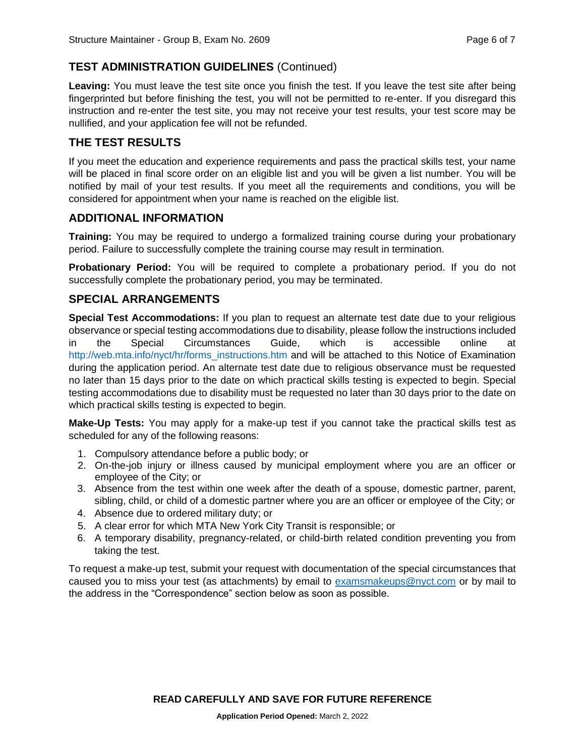# **TEST ADMINISTRATION GUIDELINES** (Continued)

**Leaving:** You must leave the test site once you finish the test. If you leave the test site after being fingerprinted but before finishing the test, you will not be permitted to re-enter. If you disregard this instruction and re-enter the test site, you may not receive your test results, your test score may be nullified, and your application fee will not be refunded.

# **THE TEST RESULTS**

If you meet the education and experience requirements and pass the practical skills test, your name will be placed in final score order on an eligible list and you will be given a list number. You will be notified by mail of your test results. If you meet all the requirements and conditions, you will be considered for appointment when your name is reached on the eligible list.

#### **ADDITIONAL INFORMATION**

**Training:** You may be required to undergo a formalized training course during your probationary period. Failure to successfully complete the training course may result in termination.

**Probationary Period:** You will be required to complete a probationary period. If you do not successfully complete the probationary period, you may be terminated.

#### **SPECIAL ARRANGEMENTS**

**Special Test Accommodations:** If you plan to request an alternate test date due to your religious observance or special testing accommodations due to disability, please follow the instructions included in the Special Circumstances Guide, which is accessible online at [http://web.mta.info/nyct/hr/forms\\_instructions.htm](http://web.mta.info/nyct/hr/forms_instructions.htm) and will be attached to this Notice of Examination during the application period. An alternate test date due to religious observance must be requested no later than 15 days prior to the date on which practical skills testing is expected to begin. Special testing accommodations due to disability must be requested no later than 30 days prior to the date on which practical skills testing is expected to begin.

**Make-Up Tests:** You may apply for a make-up test if you cannot take the practical skills test as scheduled for any of the following reasons:

- 1. Compulsory attendance before a public body; or
- 2. On-the-job injury or illness caused by municipal employment where you are an officer or employee of the City; or
- 3. Absence from the test within one week after the death of a spouse, domestic partner, parent, sibling, child, or child of a domestic partner where you are an officer or employee of the City; or
- 4. Absence due to ordered military duty; or
- 5. A clear error for which MTA New York City Transit is responsible; or
- 6. A temporary disability, pregnancy-related, or child-birth related condition preventing you from taking the test.

To request a make-up test, submit your request with documentation of the special circumstances that caused you to miss your test (as attachments) by email to [examsmakeups@nyct.com](mailto:examsmakeups@nyct.com) or by mail to the address in the "Correspondence" section below as soon as possible.